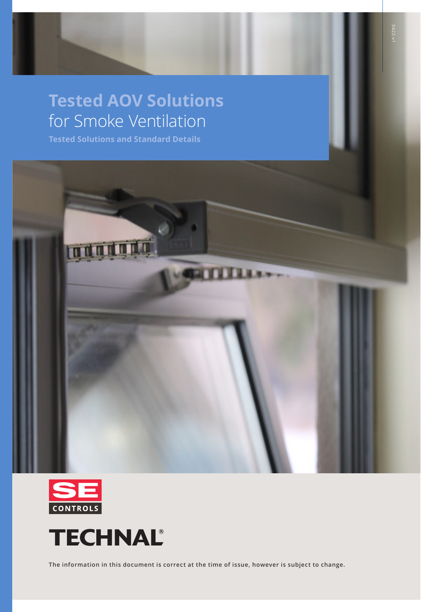# **Tested AOV Solutions**  for Smoke Ventilation

**Tested Solutions and Standard Details**







**The information in this document is correct at the time of issue, however is subject to change.**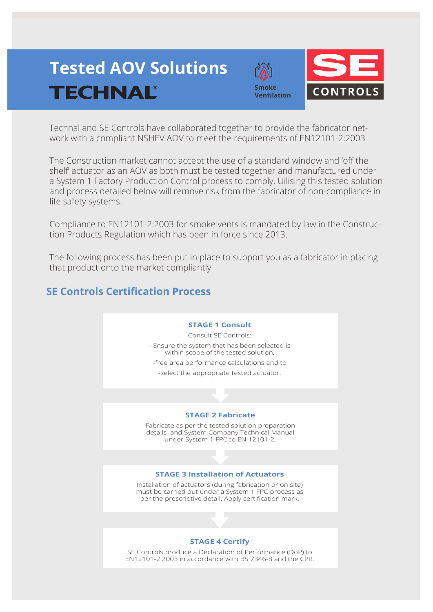# **Tested AOV Solutions TECHNAL®**





Technal and SE Controls have collaborated together to provide the fabricator network with a compliant NSHEV AOV to meet the requirements of EN12101-2:2003

The Construction market cannot accept the use of a standard window and 'off the shelf' actuator as an AOV as both must be tested together and manufactured under a System 1 Factory Production Control process to comply. Uilising this tested solution and process detailed below will remove risk from the fabricator of non-compliance in life safety systems.

Compliance to EN12101-2:2003 for smoke vents is mandated by law in the Construction Products Regulation which has been in force since 2013.

The following process has been put in place to support you as a fabricator in placing that product onto the market compliantly

# **SE Controls Certification Process**

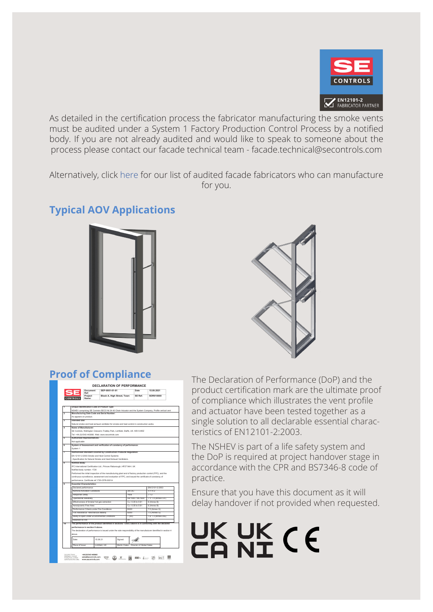

As detailed in the certification process the fabricator manufacturing the smoke vents must be audited under a System 1 Factory Production Control Process by a notified body. If you are not already audited and would like to speak to someone about the process please contact our facade technical team - facade.technical@secontrols.com

Alternatively, click here for our list of audited facade fabricators who can manufacture for you.

# **Typical AOV Applications**





| Project<br>Block A, High Street, Town<br>SF Ref<br>SOR010000<br><b>NTROLS</b><br>Name:<br>Unique Identification Code of Product Type:<br>NSHEV comprising SE Controls SECO NI 24 40 Chain Actuator and the System Company, Profile vertical vent<br>Manufacturing Date Code and Serial Number:<br>As appears on product.<br>Intended Use:<br>Natural smoke and heat exhaust ventilator for smoke and heat control in construction works.<br>Name of Manufacturer:<br>SE Controls. Wellington Crescent. Fradley Park. Lichfield. Staffs. UK. WS13 8RZ<br>Tel: +44 (0)1543 443060. Web: www.secontrols.com<br>Authorised Representatives:<br>Not applicable<br>System of Assessment and verification of constancy of performance:<br>System 1<br>Harmonised Standard covered by Construction Products Regulation:<br>EN 12101-2:2003 Smoke and Heat Control Systems<br>-Specification for Natural Smoke and Heat Exhaust Ventilators.<br>Notified Body:<br>IFC International Certification Ltd., Princes Risborough, HP27 9AH. UK<br>Notified body number: 1720<br>Performed the initial inspection of the manufacturing plant and of factory production control (FPC), and the<br>continuous surveillance, assessment and evaluation of FPC, and issued the certificate of constancy of<br>performance. Certificate ref 1720-CPR-0001A<br><b>Essential Characteristics:</b><br>Declared performance<br>EN12101-2:2003<br>Nominal Activation Conditions<br>24y DC<br>4.1/4.2<br>Response Delay<br><file<br>7.1.2<br/>Re 1000 / WL1500<br/>Operational Reliability<br/>7.1/ 7.4 (Annex C/F)<br/>Effectiveness of Smoke/ hot gas extraction<br/><math>C_{y0}</math>: 0.35 to 0.61<br/>6 (Annex B)<br/>Co: 0.35 to 0.61<br/>Aerodynamic Free Area<br/>6 (Annex B)<br/>Performance Criteria under Fire Conditions<br/>B300<br/>7.5 (Annex G)<br/>B300<br/>Fire Resistance -Mechanical stability<br/>7.5 (Annex G)<br/>Ability to open under Environmental Conditions<br/>T (00)<br/>7.2/ 7.3 (Annex D/E)<br/>Reaction to Fire<br/>A1<br/>7.5.2.1</file<br> | 1<br>$\overline{z}$<br>$\overline{\mathbf{a}}$<br>a<br>r.<br>6<br>7<br>$\overline{\mathbf{a}}$ |       |  |  |         |  |  |  |  |  |  |
|------------------------------------------------------------------------------------------------------------------------------------------------------------------------------------------------------------------------------------------------------------------------------------------------------------------------------------------------------------------------------------------------------------------------------------------------------------------------------------------------------------------------------------------------------------------------------------------------------------------------------------------------------------------------------------------------------------------------------------------------------------------------------------------------------------------------------------------------------------------------------------------------------------------------------------------------------------------------------------------------------------------------------------------------------------------------------------------------------------------------------------------------------------------------------------------------------------------------------------------------------------------------------------------------------------------------------------------------------------------------------------------------------------------------------------------------------------------------------------------------------------------------------------------------------------------------------------------------------------------------------------------------------------------------------------------------------------------------------------------------------------------------------------------------------------------------------------------------------------------------------------------------------------------------------------------------------------------------------------------------------------------------------------------------------|------------------------------------------------------------------------------------------------|-------|--|--|---------|--|--|--|--|--|--|
|                                                                                                                                                                                                                                                                                                                                                                                                                                                                                                                                                                                                                                                                                                                                                                                                                                                                                                                                                                                                                                                                                                                                                                                                                                                                                                                                                                                                                                                                                                                                                                                                                                                                                                                                                                                                                                                                                                                                                                                                                                                      |                                                                                                |       |  |  |         |  |  |  |  |  |  |
|                                                                                                                                                                                                                                                                                                                                                                                                                                                                                                                                                                                                                                                                                                                                                                                                                                                                                                                                                                                                                                                                                                                                                                                                                                                                                                                                                                                                                                                                                                                                                                                                                                                                                                                                                                                                                                                                                                                                                                                                                                                      |                                                                                                |       |  |  |         |  |  |  |  |  |  |
|                                                                                                                                                                                                                                                                                                                                                                                                                                                                                                                                                                                                                                                                                                                                                                                                                                                                                                                                                                                                                                                                                                                                                                                                                                                                                                                                                                                                                                                                                                                                                                                                                                                                                                                                                                                                                                                                                                                                                                                                                                                      |                                                                                                |       |  |  |         |  |  |  |  |  |  |
|                                                                                                                                                                                                                                                                                                                                                                                                                                                                                                                                                                                                                                                                                                                                                                                                                                                                                                                                                                                                                                                                                                                                                                                                                                                                                                                                                                                                                                                                                                                                                                                                                                                                                                                                                                                                                                                                                                                                                                                                                                                      |                                                                                                |       |  |  |         |  |  |  |  |  |  |
|                                                                                                                                                                                                                                                                                                                                                                                                                                                                                                                                                                                                                                                                                                                                                                                                                                                                                                                                                                                                                                                                                                                                                                                                                                                                                                                                                                                                                                                                                                                                                                                                                                                                                                                                                                                                                                                                                                                                                                                                                                                      |                                                                                                |       |  |  |         |  |  |  |  |  |  |
|                                                                                                                                                                                                                                                                                                                                                                                                                                                                                                                                                                                                                                                                                                                                                                                                                                                                                                                                                                                                                                                                                                                                                                                                                                                                                                                                                                                                                                                                                                                                                                                                                                                                                                                                                                                                                                                                                                                                                                                                                                                      |                                                                                                |       |  |  |         |  |  |  |  |  |  |
|                                                                                                                                                                                                                                                                                                                                                                                                                                                                                                                                                                                                                                                                                                                                                                                                                                                                                                                                                                                                                                                                                                                                                                                                                                                                                                                                                                                                                                                                                                                                                                                                                                                                                                                                                                                                                                                                                                                                                                                                                                                      |                                                                                                |       |  |  |         |  |  |  |  |  |  |
|                                                                                                                                                                                                                                                                                                                                                                                                                                                                                                                                                                                                                                                                                                                                                                                                                                                                                                                                                                                                                                                                                                                                                                                                                                                                                                                                                                                                                                                                                                                                                                                                                                                                                                                                                                                                                                                                                                                                                                                                                                                      |                                                                                                |       |  |  |         |  |  |  |  |  |  |
|                                                                                                                                                                                                                                                                                                                                                                                                                                                                                                                                                                                                                                                                                                                                                                                                                                                                                                                                                                                                                                                                                                                                                                                                                                                                                                                                                                                                                                                                                                                                                                                                                                                                                                                                                                                                                                                                                                                                                                                                                                                      |                                                                                                |       |  |  |         |  |  |  |  |  |  |
|                                                                                                                                                                                                                                                                                                                                                                                                                                                                                                                                                                                                                                                                                                                                                                                                                                                                                                                                                                                                                                                                                                                                                                                                                                                                                                                                                                                                                                                                                                                                                                                                                                                                                                                                                                                                                                                                                                                                                                                                                                                      |                                                                                                |       |  |  |         |  |  |  |  |  |  |
|                                                                                                                                                                                                                                                                                                                                                                                                                                                                                                                                                                                                                                                                                                                                                                                                                                                                                                                                                                                                                                                                                                                                                                                                                                                                                                                                                                                                                                                                                                                                                                                                                                                                                                                                                                                                                                                                                                                                                                                                                                                      |                                                                                                |       |  |  |         |  |  |  |  |  |  |
|                                                                                                                                                                                                                                                                                                                                                                                                                                                                                                                                                                                                                                                                                                                                                                                                                                                                                                                                                                                                                                                                                                                                                                                                                                                                                                                                                                                                                                                                                                                                                                                                                                                                                                                                                                                                                                                                                                                                                                                                                                                      |                                                                                                |       |  |  |         |  |  |  |  |  |  |
|                                                                                                                                                                                                                                                                                                                                                                                                                                                                                                                                                                                                                                                                                                                                                                                                                                                                                                                                                                                                                                                                                                                                                                                                                                                                                                                                                                                                                                                                                                                                                                                                                                                                                                                                                                                                                                                                                                                                                                                                                                                      |                                                                                                |       |  |  |         |  |  |  |  |  |  |
|                                                                                                                                                                                                                                                                                                                                                                                                                                                                                                                                                                                                                                                                                                                                                                                                                                                                                                                                                                                                                                                                                                                                                                                                                                                                                                                                                                                                                                                                                                                                                                                                                                                                                                                                                                                                                                                                                                                                                                                                                                                      |                                                                                                |       |  |  |         |  |  |  |  |  |  |
|                                                                                                                                                                                                                                                                                                                                                                                                                                                                                                                                                                                                                                                                                                                                                                                                                                                                                                                                                                                                                                                                                                                                                                                                                                                                                                                                                                                                                                                                                                                                                                                                                                                                                                                                                                                                                                                                                                                                                                                                                                                      |                                                                                                |       |  |  |         |  |  |  |  |  |  |
|                                                                                                                                                                                                                                                                                                                                                                                                                                                                                                                                                                                                                                                                                                                                                                                                                                                                                                                                                                                                                                                                                                                                                                                                                                                                                                                                                                                                                                                                                                                                                                                                                                                                                                                                                                                                                                                                                                                                                                                                                                                      |                                                                                                |       |  |  |         |  |  |  |  |  |  |
|                                                                                                                                                                                                                                                                                                                                                                                                                                                                                                                                                                                                                                                                                                                                                                                                                                                                                                                                                                                                                                                                                                                                                                                                                                                                                                                                                                                                                                                                                                                                                                                                                                                                                                                                                                                                                                                                                                                                                                                                                                                      |                                                                                                |       |  |  |         |  |  |  |  |  |  |
|                                                                                                                                                                                                                                                                                                                                                                                                                                                                                                                                                                                                                                                                                                                                                                                                                                                                                                                                                                                                                                                                                                                                                                                                                                                                                                                                                                                                                                                                                                                                                                                                                                                                                                                                                                                                                                                                                                                                                                                                                                                      |                                                                                                |       |  |  |         |  |  |  |  |  |  |
|                                                                                                                                                                                                                                                                                                                                                                                                                                                                                                                                                                                                                                                                                                                                                                                                                                                                                                                                                                                                                                                                                                                                                                                                                                                                                                                                                                                                                                                                                                                                                                                                                                                                                                                                                                                                                                                                                                                                                                                                                                                      |                                                                                                |       |  |  |         |  |  |  |  |  |  |
|                                                                                                                                                                                                                                                                                                                                                                                                                                                                                                                                                                                                                                                                                                                                                                                                                                                                                                                                                                                                                                                                                                                                                                                                                                                                                                                                                                                                                                                                                                                                                                                                                                                                                                                                                                                                                                                                                                                                                                                                                                                      |                                                                                                |       |  |  |         |  |  |  |  |  |  |
|                                                                                                                                                                                                                                                                                                                                                                                                                                                                                                                                                                                                                                                                                                                                                                                                                                                                                                                                                                                                                                                                                                                                                                                                                                                                                                                                                                                                                                                                                                                                                                                                                                                                                                                                                                                                                                                                                                                                                                                                                                                      |                                                                                                |       |  |  |         |  |  |  |  |  |  |
|                                                                                                                                                                                                                                                                                                                                                                                                                                                                                                                                                                                                                                                                                                                                                                                                                                                                                                                                                                                                                                                                                                                                                                                                                                                                                                                                                                                                                                                                                                                                                                                                                                                                                                                                                                                                                                                                                                                                                                                                                                                      |                                                                                                |       |  |  |         |  |  |  |  |  |  |
|                                                                                                                                                                                                                                                                                                                                                                                                                                                                                                                                                                                                                                                                                                                                                                                                                                                                                                                                                                                                                                                                                                                                                                                                                                                                                                                                                                                                                                                                                                                                                                                                                                                                                                                                                                                                                                                                                                                                                                                                                                                      |                                                                                                |       |  |  |         |  |  |  |  |  |  |
|                                                                                                                                                                                                                                                                                                                                                                                                                                                                                                                                                                                                                                                                                                                                                                                                                                                                                                                                                                                                                                                                                                                                                                                                                                                                                                                                                                                                                                                                                                                                                                                                                                                                                                                                                                                                                                                                                                                                                                                                                                                      | R                                                                                              |       |  |  |         |  |  |  |  |  |  |
|                                                                                                                                                                                                                                                                                                                                                                                                                                                                                                                                                                                                                                                                                                                                                                                                                                                                                                                                                                                                                                                                                                                                                                                                                                                                                                                                                                                                                                                                                                                                                                                                                                                                                                                                                                                                                                                                                                                                                                                                                                                      |                                                                                                |       |  |  |         |  |  |  |  |  |  |
|                                                                                                                                                                                                                                                                                                                                                                                                                                                                                                                                                                                                                                                                                                                                                                                                                                                                                                                                                                                                                                                                                                                                                                                                                                                                                                                                                                                                                                                                                                                                                                                                                                                                                                                                                                                                                                                                                                                                                                                                                                                      |                                                                                                |       |  |  |         |  |  |  |  |  |  |
|                                                                                                                                                                                                                                                                                                                                                                                                                                                                                                                                                                                                                                                                                                                                                                                                                                                                                                                                                                                                                                                                                                                                                                                                                                                                                                                                                                                                                                                                                                                                                                                                                                                                                                                                                                                                                                                                                                                                                                                                                                                      |                                                                                                |       |  |  |         |  |  |  |  |  |  |
|                                                                                                                                                                                                                                                                                                                                                                                                                                                                                                                                                                                                                                                                                                                                                                                                                                                                                                                                                                                                                                                                                                                                                                                                                                                                                                                                                                                                                                                                                                                                                                                                                                                                                                                                                                                                                                                                                                                                                                                                                                                      |                                                                                                |       |  |  |         |  |  |  |  |  |  |
|                                                                                                                                                                                                                                                                                                                                                                                                                                                                                                                                                                                                                                                                                                                                                                                                                                                                                                                                                                                                                                                                                                                                                                                                                                                                                                                                                                                                                                                                                                                                                                                                                                                                                                                                                                                                                                                                                                                                                                                                                                                      |                                                                                                |       |  |  |         |  |  |  |  |  |  |
|                                                                                                                                                                                                                                                                                                                                                                                                                                                                                                                                                                                                                                                                                                                                                                                                                                                                                                                                                                                                                                                                                                                                                                                                                                                                                                                                                                                                                                                                                                                                                                                                                                                                                                                                                                                                                                                                                                                                                                                                                                                      |                                                                                                |       |  |  |         |  |  |  |  |  |  |
|                                                                                                                                                                                                                                                                                                                                                                                                                                                                                                                                                                                                                                                                                                                                                                                                                                                                                                                                                                                                                                                                                                                                                                                                                                                                                                                                                                                                                                                                                                                                                                                                                                                                                                                                                                                                                                                                                                                                                                                                                                                      |                                                                                                |       |  |  |         |  |  |  |  |  |  |
|                                                                                                                                                                                                                                                                                                                                                                                                                                                                                                                                                                                                                                                                                                                                                                                                                                                                                                                                                                                                                                                                                                                                                                                                                                                                                                                                                                                                                                                                                                                                                                                                                                                                                                                                                                                                                                                                                                                                                                                                                                                      |                                                                                                |       |  |  |         |  |  |  |  |  |  |
|                                                                                                                                                                                                                                                                                                                                                                                                                                                                                                                                                                                                                                                                                                                                                                                                                                                                                                                                                                                                                                                                                                                                                                                                                                                                                                                                                                                                                                                                                                                                                                                                                                                                                                                                                                                                                                                                                                                                                                                                                                                      |                                                                                                |       |  |  |         |  |  |  |  |  |  |
|                                                                                                                                                                                                                                                                                                                                                                                                                                                                                                                                                                                                                                                                                                                                                                                                                                                                                                                                                                                                                                                                                                                                                                                                                                                                                                                                                                                                                                                                                                                                                                                                                                                                                                                                                                                                                                                                                                                                                                                                                                                      |                                                                                                |       |  |  |         |  |  |  |  |  |  |
|                                                                                                                                                                                                                                                                                                                                                                                                                                                                                                                                                                                                                                                                                                                                                                                                                                                                                                                                                                                                                                                                                                                                                                                                                                                                                                                                                                                                                                                                                                                                                                                                                                                                                                                                                                                                                                                                                                                                                                                                                                                      |                                                                                                |       |  |  |         |  |  |  |  |  |  |
| The performance of the product identified in sections 1 and 2 above is in conformity with the declared                                                                                                                                                                                                                                                                                                                                                                                                                                                                                                                                                                                                                                                                                                                                                                                                                                                                                                                                                                                                                                                                                                                                                                                                                                                                                                                                                                                                                                                                                                                                                                                                                                                                                                                                                                                                                                                                                                                                               | 10                                                                                             |       |  |  |         |  |  |  |  |  |  |
|                                                                                                                                                                                                                                                                                                                                                                                                                                                                                                                                                                                                                                                                                                                                                                                                                                                                                                                                                                                                                                                                                                                                                                                                                                                                                                                                                                                                                                                                                                                                                                                                                                                                                                                                                                                                                                                                                                                                                                                                                                                      |                                                                                                |       |  |  |         |  |  |  |  |  |  |
| performance in section 9 above.                                                                                                                                                                                                                                                                                                                                                                                                                                                                                                                                                                                                                                                                                                                                                                                                                                                                                                                                                                                                                                                                                                                                                                                                                                                                                                                                                                                                                                                                                                                                                                                                                                                                                                                                                                                                                                                                                                                                                                                                                      |                                                                                                |       |  |  |         |  |  |  |  |  |  |
| The declaration of performance is issued under the sole responsibility of the manufacturer identified in section 4                                                                                                                                                                                                                                                                                                                                                                                                                                                                                                                                                                                                                                                                                                                                                                                                                                                                                                                                                                                                                                                                                                                                                                                                                                                                                                                                                                                                                                                                                                                                                                                                                                                                                                                                                                                                                                                                                                                                   |                                                                                                |       |  |  |         |  |  |  |  |  |  |
| above                                                                                                                                                                                                                                                                                                                                                                                                                                                                                                                                                                                                                                                                                                                                                                                                                                                                                                                                                                                                                                                                                                                                                                                                                                                                                                                                                                                                                                                                                                                                                                                                                                                                                                                                                                                                                                                                                                                                                                                                                                                |                                                                                                | Date: |  |  | Signed: |  |  |  |  |  |  |
| 15.09.21                                                                                                                                                                                                                                                                                                                                                                                                                                                                                                                                                                                                                                                                                                                                                                                                                                                                                                                                                                                                                                                                                                                                                                                                                                                                                                                                                                                                                                                                                                                                                                                                                                                                                                                                                                                                                                                                                                                                                                                                                                             |                                                                                                |       |  |  |         |  |  |  |  |  |  |
| Place of Issue:<br>Lichfield, UK<br>Martin Oates - Director of Global Sales                                                                                                                                                                                                                                                                                                                                                                                                                                                                                                                                                                                                                                                                                                                                                                                                                                                                                                                                                                                                                                                                                                                                                                                                                                                                                                                                                                                                                                                                                                                                                                                                                                                                                                                                                                                                                                                                                                                                                                          |                                                                                                |       |  |  |         |  |  |  |  |  |  |

**Proof of Compliance**<br>The Declaration of Performance (DoP) and the product certification mark are the ultimate proof of compliance which illustrates the vent profile and actuator have been tested together as a single solution to all declarable essential characteristics of EN12101-2:2003.

> The NSHEV is part of a life safety system and the DoP is required at project handover stage in accordance with the CPR and BS7346-8 code of practice.

> Ensure that you have this document as it will delay handover if not provided when requested.

UK UK (E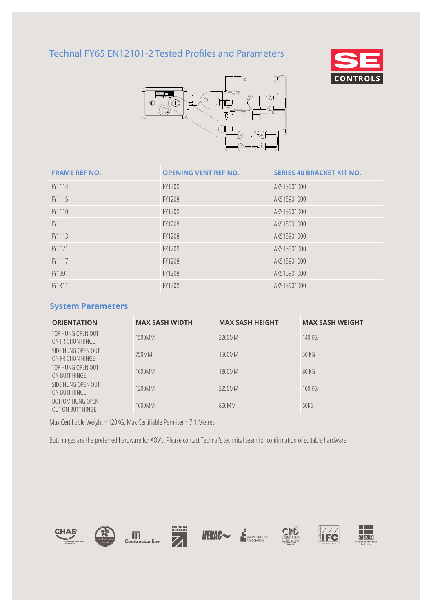# Technal FY65 EN12101-2 Tested Profiles and Parameters





| <b>FRAME REF NO.</b> | <b>OPENING VENT REF NO.</b> | <b>SERIES 40 BRACKET KIT NO.</b> |
|----------------------|-----------------------------|----------------------------------|
| FY1114               | <b>FY1208</b>               | AKS15901000                      |
| FY1115               | FY1208                      | AKS15901000                      |
| FY1110               | <b>FY1208</b>               | AKS15901000                      |
| FY1111               | FY1208                      | AKS15901000                      |
| FY1113               | FY1208                      | AKS15901000                      |
| FY1121               | <b>FY1208</b>               | AKS15901000                      |
| FY1117               | FY1208                      | AKS15901000                      |
| FY1301               | <b>FY1208</b>               | AKS15901000                      |
| FY1311               | <b>FY1208</b>               | AKS15901000                      |

#### **System Parameters**

| <b>ORIENTATION</b>                                  | <b>MAX SASH WIDTH</b> | <b>MAX SASH HEIGHT</b> | <b>MAX SASH WEIGHT</b> |
|-----------------------------------------------------|-----------------------|------------------------|------------------------|
| TOP HUNG OPEN OUT<br>ON FRICTION HINGE              | 1500MM                | 2200MM                 | 140 KG                 |
| SIDE HUNG OPEN OUT<br>ON FRICTION HINGE             | 750MM                 | 1500MM                 | 50K                    |
| TOP HUNG OPEN OUT<br>ON BUTT HINGE                  | 1600MM                | 1800MM                 | 80 KG                  |
| SIDE HUNG OPEN OUT<br>ON BUTT HINGE                 | 1200MM                | 2250MM                 | 100K                   |
| <b>BOTTOM HUNG OPEN</b><br><b>OUT ON BUTT HINGE</b> | 1600MM                | 800MM                  | 60KG                   |

Max Certifiable Weight = 120KG, Max Certifiable Permiter = 7.1 Metres

Butt hinges are the preferred hardware for AOV's. Please contact Technal's technical team for confirmation of suitable hardware













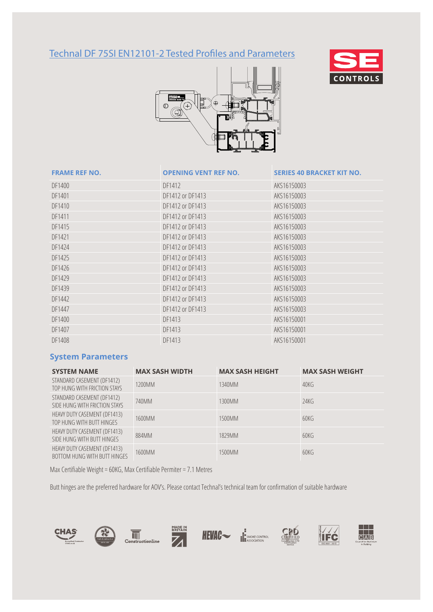# Technal DF 75SI EN12101-2 Tested Profiles and Parameters





### **FRAME REF NO. OPENING VENT REF NO. SERIES 40 BRACKET KIT NO.**

| <b>FRAME REF IVU.</b> | UPENING VENT REF NU. | SERIES 40 DRACRET RIT NU. |
|-----------------------|----------------------|---------------------------|
| DF1400                | DF1412               | AKS16150003               |
| DF1401                | DF1412 or DF1413     | AKS16150003               |
| DF1410                | DF1412 or DF1413     | AKS16150003               |
| DF1411                | DF1412 or DF1413     | AKS16150003               |
| DF1415                | DF1412 or DF1413     | AKS16150003               |
| DF1421                | DF1412 or DF1413     | AKS16150003               |
| DF1424                | DF1412 or DF1413     | AKS16150003               |
| DF1425                | DF1412 or DF1413     | AKS16150003               |
| DF1426                | DF1412 or DF1413     | AKS16150003               |
| DF1429                | DF1412 or DF1413     | AKS16150003               |
| DF1439                | DF1412 or DF1413     | AKS16150003               |
| DF1442                | DF1412 or DF1413     | AKS16150003               |
| DF1447                | DF1412 or DF1413     | AKS16150003               |
| DF1400                | DF1413               | AKS16150001               |
| DF1407                | DF1413               | AKS16150001               |
| DF1408                | DF1413               | AKS16150001               |
|                       |                      |                           |

#### **System Parameters**

| <b>SYSTEM NAME</b>                                           | <b>MAX SASH WIDTH</b> | <b>MAX SASH HEIGHT</b> | <b>MAX SASH WEIGHT</b> |
|--------------------------------------------------------------|-----------------------|------------------------|------------------------|
| STANDARD CASEMENT (DF1412)<br>TOP HUNG WITH FRICTION STAYS   | 1200MM                | 1340MM                 | 40K                    |
| STANDARD CASEMENT (DF1412)<br>SIDE HUNG WITH FRICTION STAYS  | 740MM                 | 1300MM                 | 24KG                   |
| HEAVY DUTY CASEMENT (DF1413)<br>TOP HUNG WITH BUTT HINGES    | 1600MM                | 1500MM                 | 60KG                   |
| HEAVY DUTY CASEMENT (DF1413)<br>SIDE HUNG WITH BUTT HINGES   | 884MM                 | 1829MM                 | 60KG                   |
| HEAVY DUTY CASEMENT (DF1413)<br>BOTTOM HUNG WITH BUTT HINGES | 1600MM                | 1500MM                 | 60KG                   |

Max Certifiable Weight = 60KG, Max Certifiable Permiter = 7.1 Metres

Butt hinges are the preferred hardware for AOV's. Please contact Technal's technical team for confirmation of suitable hardware